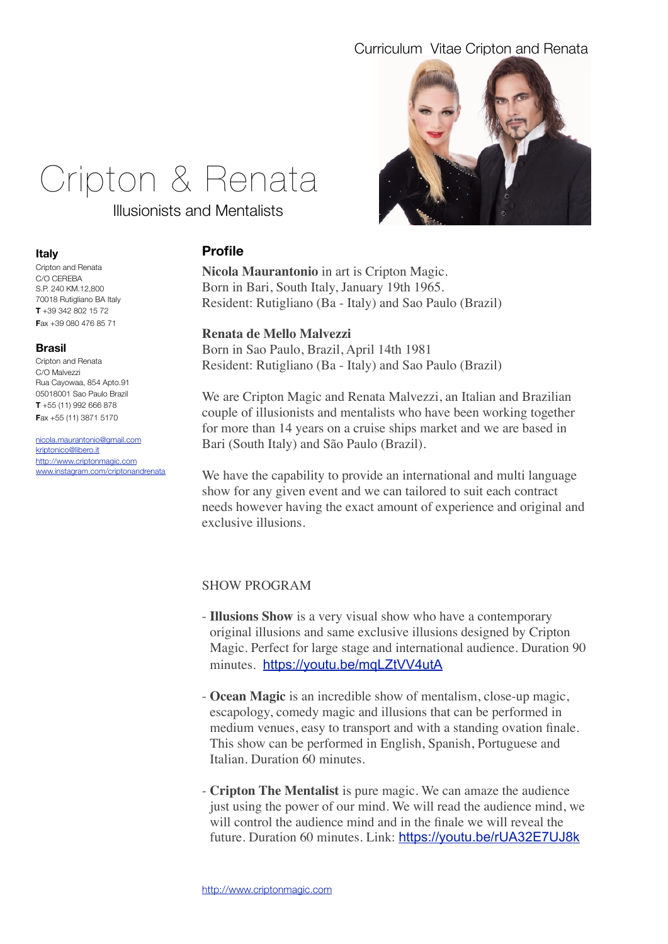

# Cripton & Renata

Illusionists and Mentalists

# **Profile**

**Nicola Maurantonio** in art is Cripton Magic. Born in Bari, South Italy, January 19th 1965. Resident: Rutigliano (Ba - Italy) and Sao Paulo (Brazil)

# **Renata de Mello Malvezzi**

Born in Sao Paulo, Brazil, April 14th 1981 Resident: Rutigliano (Ba - Italy) and Sao Paulo (Brazil)

We are Cripton Magic and Renata Malvezzi, an Italian and Brazilian couple of illusionists and mentalists who have been working together for more than 14 years on a cruise ships market and we are based in Bari (South Italy) and São Paulo (Brazil).

We have the capability to provide an international and multi language show for any given event and we can tailored to suit each contract needs however having the exact amount of experience and original and exclusive illusions.

# SHOW PROGRAM

- **Illusions Show** is a very visual show who have a contemporary original illusions and same exclusive illusions designed by Cripton Magic. Perfect for large stage and international audience. Duration 90 minutes. <https://youtu.be/mqLZtVV4utA>
- **Ocean Magic** is an incredible show of mentalism, close-up magic, escapology, comedy magic and illusions that can be performed in medium venues, easy to transport and with a standing ovation finale. This show can be performed in English, Spanish, Portuguese and Italian. Duration 60 minutes.
- **Cripton The Mentalist** is pure magic. We can amaze the audience just using the power of our mind. We will read the audience mind, we will control the audience mind and in the finale we will reveal the future. Duration 60 minutes. Link: <https://youtu.be/rUA32E7UJ8k>

## **Italy**

Cripton and Renata C/O CEREBA S.P. 240 KM.12,800 70018 Rutigliano BA Italy **T** +39 342 802 15 72 **F**ax +39 080 476 85 71

## **Brasil**

Cripton and Renata C/O Malvezzi Rua Cayowaa, 854 Apto.91 05018001 Sao Paulo Brazil **T** +55 (11) 992 666 878 **F**ax +55 (11) 3871 5170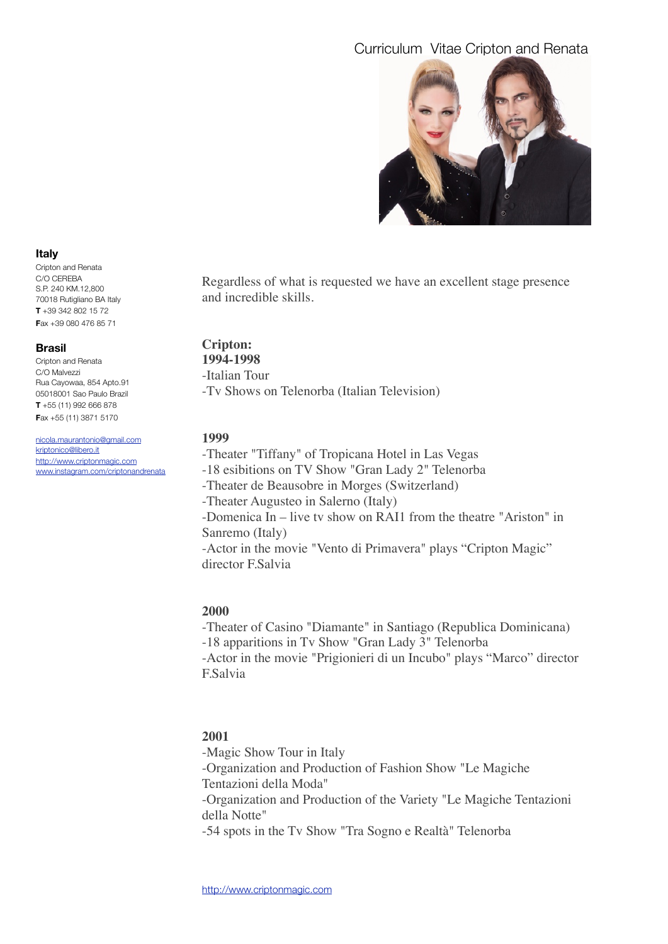

Regardless of what is requested we have an excellent stage presence and incredible skills.

# **Cripton:**

**1994-1998** -Italian Tour

-Tv Shows on Telenorba (Italian Television)

## **1999**

-Theater "Tiffany" of Tropicana Hotel in Las Vegas

-18 esibitions on TV Show "Gran Lady 2" Telenorba

-Theater de Beausobre in Morges (Switzerland)

-Theater Augusteo in Salerno (Italy)

-Domenica In – live tv show on RAI1 from the theatre "Ariston" in Sanremo (Italy)

-Actor in the movie "Vento di Primavera" plays "Cripton Magic" director F.Salvia

# **2000**

-Theater of Casino "Diamante" in Santiago (Republica Dominicana) -18 apparitions in Tv Show "Gran Lady 3" Telenorba -Actor in the movie "Prigionieri di un Incubo" plays "Marco" director F.Salvia

# **2001**

-Magic Show Tour in Italy -Organization and Production of Fashion Show "Le Magiche Tentazioni della Moda" -Organization and Production of the Variety "Le Magiche Tentazioni della Notte" -54 spots in the Tv Show "Tra Sogno e Realtà" Telenorba

## **Italy**

Cripton and Renata C/O CEREBA S.P. 240 KM.12,800 70018 Rutigliano BA Italy **T** +39 342 802 15 72 **F**ax +39 080 476 85 71

## **Brasil**

Cripton and Renata C/O Malvezzi Rua Cayowaa, 854 Apto.91 05018001 Sao Paulo Brazil **T** +55 (11) 992 666 878 **F**ax +55 (11) 3871 5170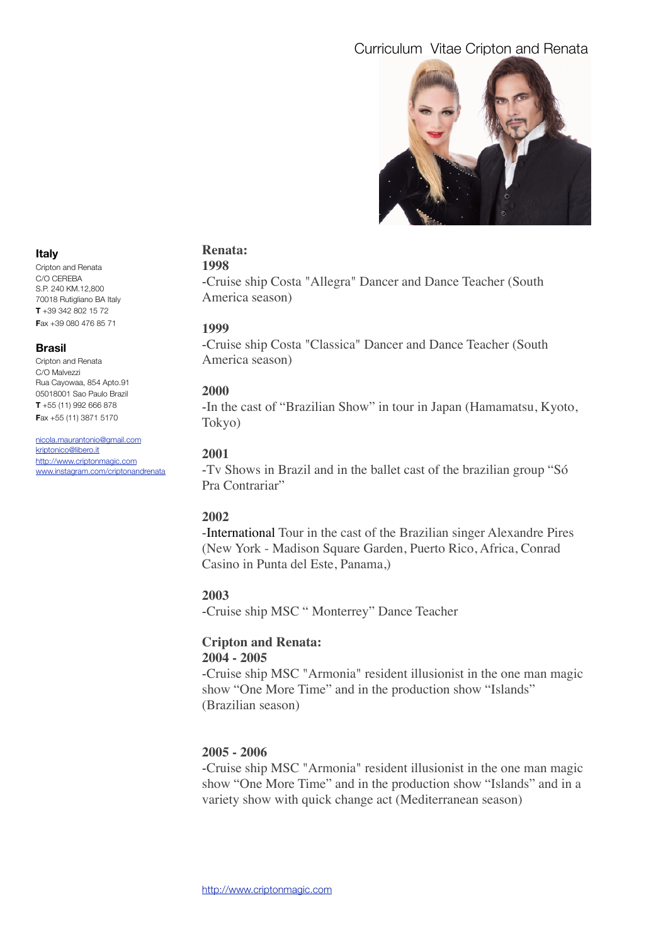

#### **Italy**

Cripton and Renata C/O CEREBA S.P. 240 KM.12,800 70018 Rutigliano BA Italy **T** +39 342 802 15 72 **F**ax +39 080 476 85 71

#### **Brasil**

Cripton and Renata C/O Malvezzi Rua Cayowaa, 854 Apto.91 05018001 Sao Paulo Brazil **T** +55 (11) 992 666 878 **F**ax +55 (11) 3871 5170

[nicola.maurantonio@gmail.com](mailto:nicola.maurantonio@gmail.com) [kriptonico@libero.it](mailto:kriptonico@libero.it) [http://www.criptonmagic.com](http://www.magiccripton.com) [www.instagram.com/criptonandrenata](http://www.instagram.com/criptonandrenata)

# **Renata:**

# **1998**

-Cruise ship Costa "Allegra" Dancer and Dance Teacher (South America season)

## **1999**

-Cruise ship Costa "Classica" Dancer and Dance Teacher (South America season)

## **2000**

-In the cast of "Brazilian Show" in tour in Japan (Hamamatsu, Kyoto, Tokyo)

## **2001**

-Tv Shows in Brazil and in the ballet cast of the brazilian group "Só Pra Contrariar"

# **2002**

-International Tour in the cast of the Brazilian singer Alexandre Pires (New York - Madison Square Garden, Puerto Rico, Africa, Conrad Casino in Punta del Este, Panama,)

## **2003**

-Cruise ship MSC " Monterrey" Dance Teacher

#### **Cripton and Renata: 2004 - 2005**

-Cruise ship MSC "Armonia" resident illusionist in the one man magic show "One More Time" and in the production show "Islands" (Brazilian season)

# **2005 - 2006**

-Cruise ship MSC "Armonia" resident illusionist in the one man magic show "One More Time" and in the production show "Islands" and in a variety show with quick change act (Mediterranean season)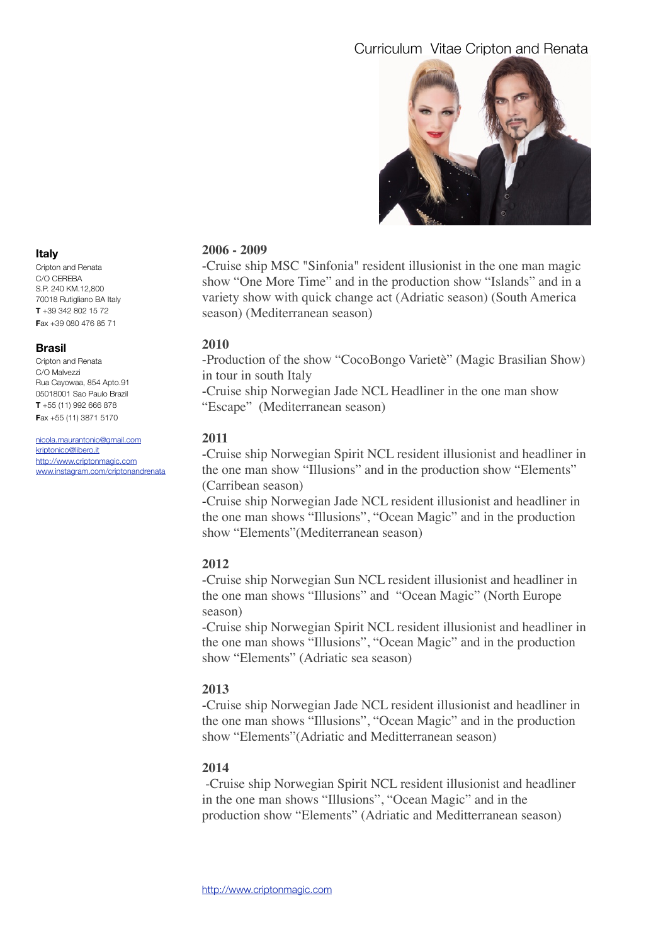

# **2006 - 2009**

-Cruise ship MSC "Sinfonia" resident illusionist in the one man magic show "One More Time" and in the production show "Islands" and in a variety show with quick change act (Adriatic season) (South America season) (Mediterranean season)

## **2010**

-Production of the show "CocoBongo Varietè" (Magic Brasilian Show) in tour in south Italy

-Cruise ship Norwegian Jade NCL Headliner in the one man show "Escape" (Mediterranean season)

## **2011**

-Cruise ship Norwegian Spirit NCL resident illusionist and headliner in the one man show "Illusions" and in the production show "Elements" (Carribean season)

-Cruise ship Norwegian Jade NCL resident illusionist and headliner in the one man shows "Illusions", "Ocean Magic" and in the production show "Elements"(Mediterranean season)

# **2012**

-Cruise ship Norwegian Sun NCL resident illusionist and headliner in the one man shows "Illusions" and "Ocean Magic" (North Europe season)

-Cruise ship Norwegian Spirit NCL resident illusionist and headliner in the one man shows "Illusions", "Ocean Magic" and in the production show "Elements" (Adriatic sea season)

## **2013**

-Cruise ship Norwegian Jade NCL resident illusionist and headliner in the one man shows "Illusions", "Ocean Magic" and in the production show "Elements"(Adriatic and Meditterranean season)

# **2014**

-Cruise ship Norwegian Spirit NCL resident illusionist and headliner in the one man shows "Illusions", "Ocean Magic" and in the production show "Elements" (Adriatic and Meditterranean season)

## **Italy**

Cripton and Renata C/O CEREBA S.P. 240 KM.12,800 70018 Rutigliano BA Italy **T** +39 342 802 15 72 **F**ax +39 080 476 85 71

#### **Brasil**

Cripton and Renata C/O Malvezzi Rua Cayowaa, 854 Apto.91 05018001 Sao Paulo Brazil **T** +55 (11) 992 666 878 **F**ax +55 (11) 3871 5170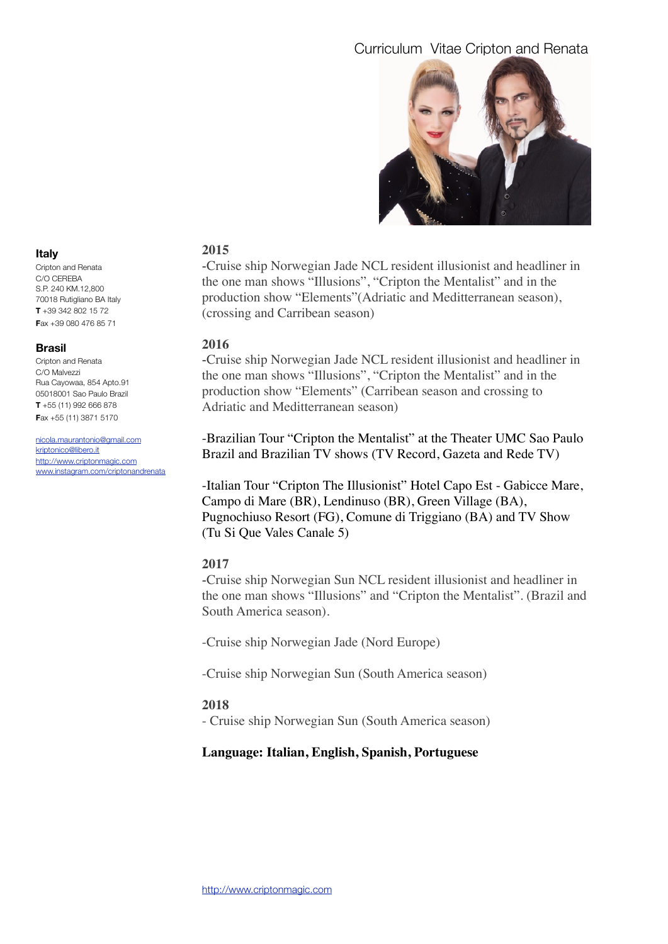

#### **Italy**

Cripton and Renata C/O CEREBA S.P. 240 KM.12,800 70018 Rutigliano BA Italy **T** +39 342 802 15 72 **F**ax +39 080 476 85 71

#### **Brasil**

Cripton and Renata C/O Malvezzi Rua Cayowaa, 854 Apto.91 05018001 Sao Paulo Brazil **T** +55 (11) 992 666 878 **F**ax +55 (11) 3871 5170

[nicola.maurantonio@gmail.com](mailto:nicola.maurantonio@gmail.com) [kriptonico@libero.it](mailto:kriptonico@libero.it) [http://www.criptonmagic.com](http://www.magiccripton.com) [www.instagram.com/criptonandrenata](http://www.instagram.com/criptonandrenata)

# **2015**

-Cruise ship Norwegian Jade NCL resident illusionist and headliner in the one man shows "Illusions", "Cripton the Mentalist" and in the production show "Elements"(Adriatic and Meditterranean season), (crossing and Carribean season)

## **2016**

-Cruise ship Norwegian Jade NCL resident illusionist and headliner in the one man shows "Illusions", "Cripton the Mentalist" and in the production show "Elements" (Carribean season and crossing to Adriatic and Meditterranean season)

-Brazilian Tour "Cripton the Mentalist" at the Theater UMC Sao Paulo Brazil and Brazilian TV shows (TV Record, Gazeta and Rede TV)

-Italian Tour "Cripton The Illusionist" Hotel Capo Est - Gabicce Mare, Campo di Mare (BR), Lendinuso (BR), Green Village (BA), Pugnochiuso Resort (FG), Comune di Triggiano (BA) and TV Show (Tu Si Que Vales Canale 5)

# **2017**

-Cruise ship Norwegian Sun NCL resident illusionist and headliner in the one man shows "Illusions" and "Cripton the Mentalist". (Brazil and South America season).

-Cruise ship Norwegian Jade (Nord Europe)

-Cruise ship Norwegian Sun (South America season)

## **2018**

- Cruise ship Norwegian Sun (South America season)

# **Language: Italian, English, Spanish, Portuguese**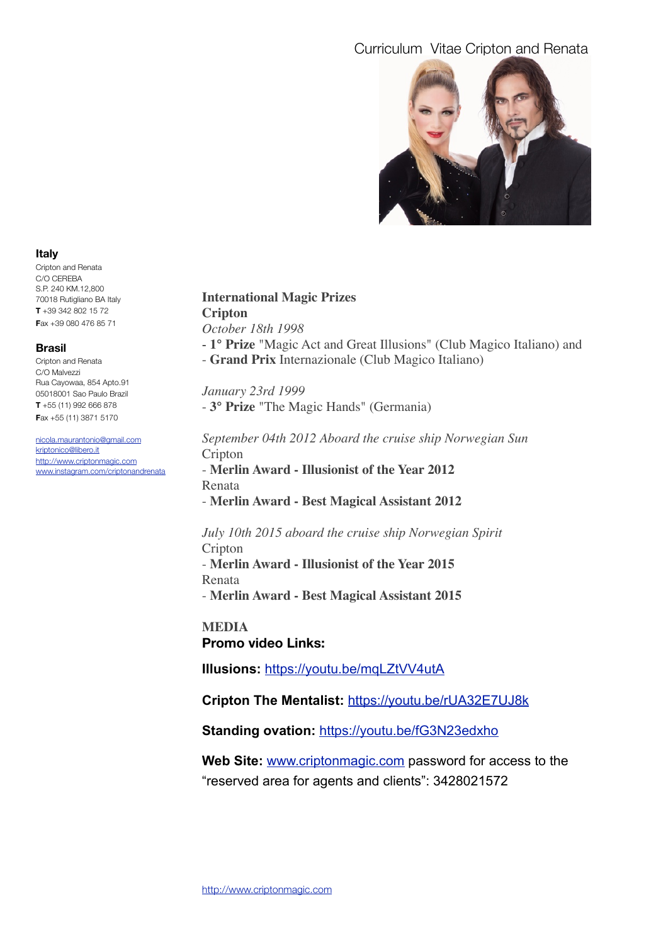

#### **Italy**

Cripton and Renata C/O CEREBA S.P. 240 KM.12,800 70018 Rutigliano BA Italy **T** +39 342 802 15 72 **F**ax +39 080 476 85 71

#### **Brasil**

Cripton and Renata C/O Malvezzi Rua Cayowaa, 854 Apto.91 05018001 Sao Paulo Brazil **T** +55 (11) 992 666 878 **F**ax +55 (11) 3871 5170

[nicola.maurantonio@gmail.com](mailto:nicola.maurantonio@gmail.com) [kriptonico@libero.it](mailto:kriptonico@libero.it) [http://www.criptonmagic.com](http://www.magiccripton.com) [www.instagram.com/criptonandrenata](http://www.instagram.com/criptonandrenata)

## **International Magic Prizes Cripton** *October 18th 1998*

- **1° Prize** "Magic Act and Great Illusions" (Club Magico Italiano) and
- **Grand Prix** Internazionale (Club Magico Italiano)

*January 23rd 1999* - **3° Prize** "The Magic Hands" (Germania)

*September 04th 2012 Aboard the cruise ship Norwegian Sun* Cripton

- **Merlin Award - Illusionist of the Year 2012** Renata

- **Merlin Award - Best Magical Assistant 2012** 

*July 10th 2015 aboard the cruise ship Norwegian Spirit* Cripton - **Merlin Award - Illusionist of the Year 2015** 

Renata - **Merlin Award - Best Magical Assistant 2015**

**MEDIA Promo video Links:** 

**Illusions:** <https://youtu.be/mqLZtVV4utA>

**Cripton The Mentalist:** <https://youtu.be/rUA32E7UJ8k>

Standing ovation: <https://youtu.be/fG3N23edxho>

**Web Site:** [www.criptonmagic.com](http://www.criptonmagic.com) password for access to the "reserved area for agents and clients": 3428021572